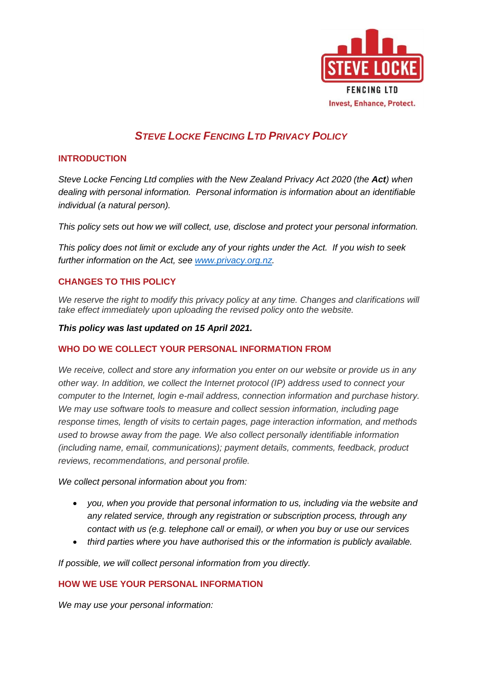

# *STEVE LOCKE FENCING LTD PRIVACY POLICY*

## **INTRODUCTION**

*Steve Locke Fencing Ltd complies with the New Zealand Privacy Act 2020 (the Act) when dealing with personal information. Personal information is information about an identifiable individual (a natural person).*

*This policy sets out how we will collect, use, disclose and protect your personal information.*

*This policy does not limit or exclude any of your rights under the Act. If you wish to seek further information on the Act, see [www.privacy.org.nz.](http://www.privacy.org.nz/)*

# **CHANGES TO THIS POLICY**

We reserve the right to modify this privacy policy at any time. Changes and clarifications will *take effect immediately upon uploading the revised policy onto the website.*

#### *This policy was last updated on 15 April 2021.*

## **WHO DO WE COLLECT YOUR PERSONAL INFORMATION FROM**

*We receive, collect and store any information you enter on our website or provide us in any other way. In addition, we collect the Internet protocol (IP) address used to connect your computer to the Internet, login e-mail address, connection information and purchase history. We may use software tools to measure and collect session information, including page response times, length of visits to certain pages, page interaction information, and methods used to browse away from the page. We also collect personally identifiable information (including name, email, communications); payment details, comments, feedback, product reviews, recommendations, and personal profile.*

*We collect personal information about you from:*

- *you, when you provide that personal information to us, including via the website and any related service, through any registration or subscription process, through any contact with us (e.g. telephone call or email), or when you buy or use our services*
- *third parties where you have authorised this or the information is publicly available.*

*If possible, we will collect personal information from you directly.* 

## **HOW WE USE YOUR PERSONAL INFORMATION**

*We may use your personal information:*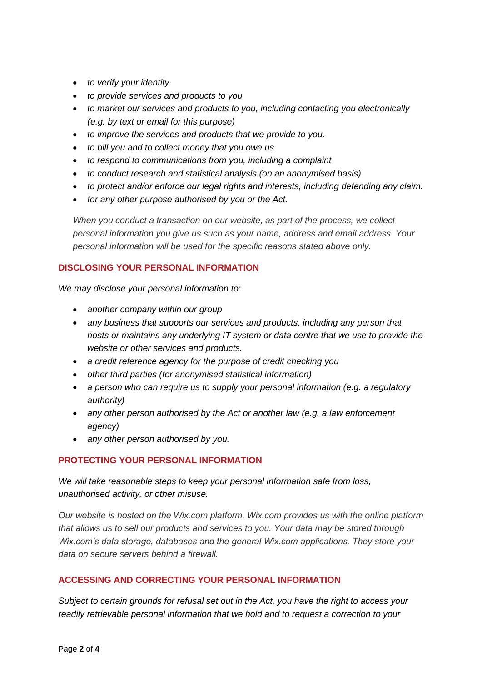- *to verify your identity*
- *to provide services and products to you*
- *to market our services and products to you, including contacting you electronically (e.g. by text or email for this purpose)*
- *to improve the services and products that we provide to you.*
- *to bill you and to collect money that you owe us*
- *to respond to communications from you, including a complaint*
- *to conduct research and statistical analysis (on an anonymised basis)*
- *to protect and/or enforce our legal rights and interests, including defending any claim.*
- *for any other purpose authorised by you or the Act.*

*When you conduct a transaction on our website, as part of the process, we collect personal information you give us such as your name, address and email address. Your personal information will be used for the specific reasons stated above only.*

## **DISCLOSING YOUR PERSONAL INFORMATION**

*We may disclose your personal information to:* 

- *another company within our group*
- *any business that supports our services and products, including any person that hosts or maintains any underlying IT system or data centre that we use to provide the website or other services and products.*
- *a credit reference agency for the purpose of credit checking you*
- *other third parties (for anonymised statistical information)*
- *a person who can require us to supply your personal information (e.g. a regulatory authority)*
- *any other person authorised by the Act or another law (e.g. a law enforcement agency)*
- *any other person authorised by you.*

# **PROTECTING YOUR PERSONAL INFORMATION**

*We will take reasonable steps to keep your personal information safe from loss, unauthorised activity, or other misuse.*

*Our website is hosted on the Wix.com platform. Wix.com provides us with the online platform that allows us to sell our products and services to you. Your data may be stored through Wix.com's data storage, databases and the general Wix.com applications. They store your data on secure servers behind a firewall.*

## **ACCESSING AND CORRECTING YOUR PERSONAL INFORMATION**

*Subject to certain grounds for refusal set out in the Act, you have the right to access your readily retrievable personal information that we hold and to request a correction to your*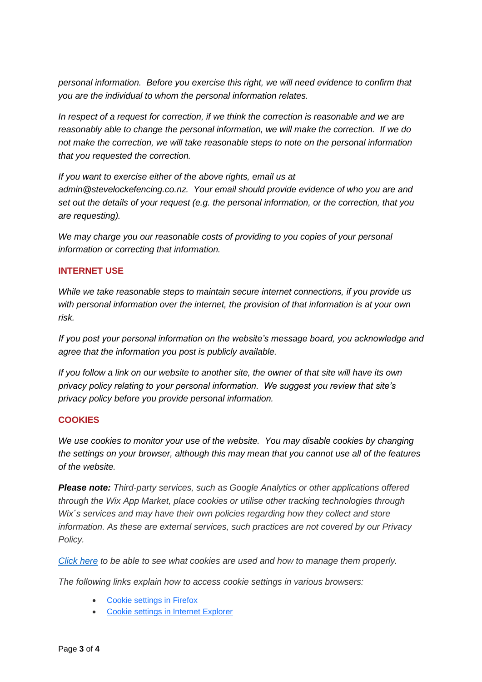*personal information. Before you exercise this right, we will need evidence to confirm that you are the individual to whom the personal information relates.*

*In respect of a request for correction, if we think the correction is reasonable and we are reasonably able to change the personal information, we will make the correction. If we do not make the correction, we will take reasonable steps to note on the personal information that you requested the correction.*

*If you want to exercise either of the above rights, email us at admin@stevelockefencing.co.nz. Your email should provide evidence of who you are and set out the details of your request (e.g. the personal information, or the correction, that you are requesting).*

*We may charge you our reasonable costs of providing to you copies of your personal information or correcting that information.*

## **INTERNET USE**

*While we take reasonable steps to maintain secure internet connections, if you provide us with personal information over the internet, the provision of that information is at your own risk.*

*If you post your personal information on the website's message board, you acknowledge and agree that the information you post is publicly available.*

*If you follow a link on our website to another site, the owner of that site will have its own privacy policy relating to your personal information. We suggest you review that site's privacy policy before you provide personal information.*

## **COOKIES**

*We use cookies to monitor your use of the website. You may disable cookies by changing the settings on your browser, although this may mean that you cannot use all of the features of the website.* 

*Please note: Third-party services, such as Google Analytics or other applications offered through the Wix App Market, place cookies or utilise other tracking technologies through Wix´s services and may have their own policies regarding how they collect and store information. As these are external services, such practices are not covered by our Privacy Policy.*

*[Click here](https://www.allaboutcookies.org/) to be able to see what cookies are used and how to manage them properly.*

*The following links explain how to access cookie settings in various browsers:*

- [Cookie settings in Firefox](http://support.mozilla.com/en-US/kb/Enabling%20and%20disabling%20cookies)
- [Cookie settings in Internet Explorer](https://support.microsoft.com/en-us/help/17442/windows-internet-explorer-delete-manage-cookies)